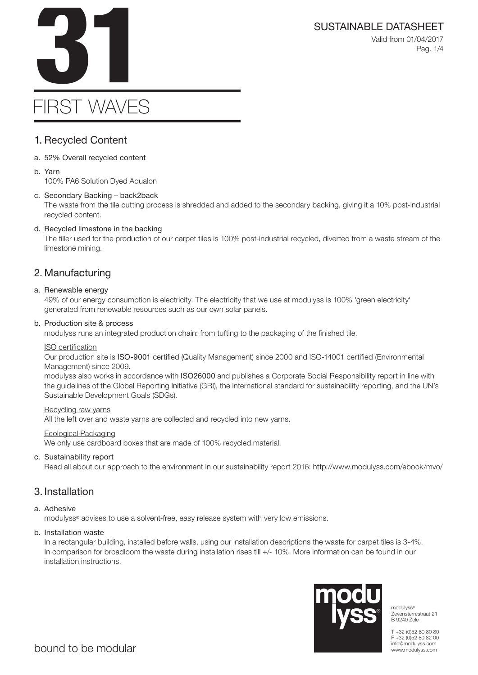

```
Valid from 01/04/2017
 Pag. 1/4
```
# FIRST WAVES

# 1. Recycled Content

- a. 52% Overall recycled content
- b. Yarn

100% PA6 Solution Dyed Aqualon

# c. Secondary Backing – back2back

The waste from the tile cutting process is shredded and added to the secondary backing, giving it a 10% post-industrial recycled content.

# d. Recycled limestone in the backing

The filler used for the production of our carpet tiles is 100% post-industrial recycled, diverted from a waste stream of the limestone mining.

# 2. Manufacturing

# a. Renewable energy

49% of our energy consumption is electricity. The electricity that we use at modulyss is 100% 'green electricity' generated from renewable resources such as our own solar panels.

# b. Production site & process

modulyss runs an integrated production chain: from tufting to the packaging of the finished tile.

# ISO certification

Our production site is ISO-9001 certified (Quality Management) since 2000 and ISO-14001 certified (Environmental Management) since 2009.

modulyss also works in accordance with ISO26000 and publishes a Corporate Social Responsibility report in line with the guidelines of the Global Reporting Initiative (GRI), the international standard for sustainability reporting, and the UN's Sustainable Development Goals (SDGs).

# Recycling raw yarns

All the left over and waste yarns are collected and recycled into new yarns.

# Ecological Packaging

We only use cardboard boxes that are made of 100% recycled material.

# c. Sustainability report

Read all about our approach to the environment in our sustainability report 2016: http://www.modulyss.com/ebook/mvo/

# 3. Installation

# a. Adhesive

modulyss® advises to use a solvent-free, easy release system with very low emissions.

# b. Installation waste

In a rectangular building, installed before walls, using our installation descriptions the waste for carpet tiles is 3-4%. In comparison for broadloom the waste during installation rises till +/- 10%. More information can be found in our installation instructions.



modulyss® Zevensterrestraat 21 B 9240 Zele

T +32 (0)52 80 80 80 F +32 (0)52 80 82 00 info@modulyss.com www.modulyss.com

SUSTAINABLE DATASHEET<br>Valid from 01/04/2017<br>Pag. 1/4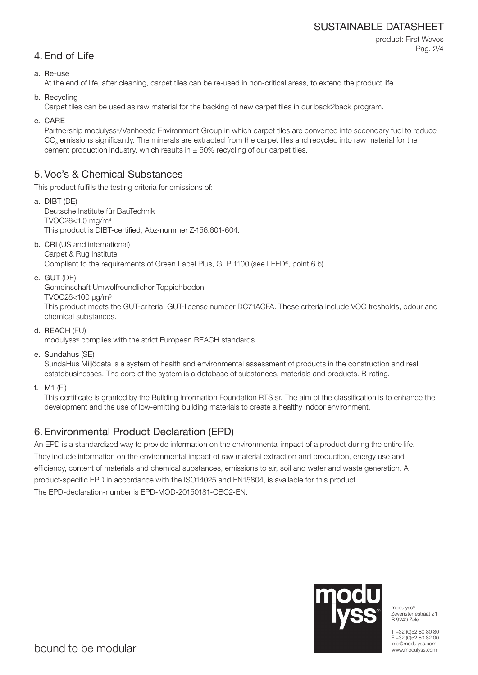# SUSTAINABLE DATASHEET

product: First Waves Pag. 2/4

# 4. End of Life

### a. Re-use

At the end of life, after cleaning, carpet tiles can be re-used in non-critical areas, to extend the product life.

b. Recycling

Carpet tiles can be used as raw material for the backing of new carpet tiles in our back2back program.

c. CARE

Partnership modulyss®/Vanheede Environment Group in which carpet tiles are converted into secondary fuel to reduce  $\mathrm{CO}_2$  emissions significantly. The minerals are extracted from the carpet tiles and recycled into raw material for the cement production industry, which results in  $\pm$  50% recycling of our carpet tiles.

# 5. Voc's & Chemical Substances

This product fulfills the testing criteria for emissions of:

- a. DIBT (DE) Deutsche Institute für BauTechnik TVOC28<1,0 mg/m³ This product is DIBT-certified, Abz-nummer Z-156.601-604.
- b. CRI (US and international) Carpet & Rug Institute

Compliant to the requirements of Green Label Plus, GLP 1100 (see LEED®, point 6.b)

c. GUT (DE)

Gemeinschaft Umwelfreundlicher Teppichboden

TVOC28<100 μg/m³

This product meets the GUT-criteria, GUT-license number DC71ACFA. These criteria include VOC tresholds, odour and chemical substances.

d. REACH (EU)

modulyss® complies with the strict European REACH standards.

e. Sundahus (SE)

SundaHus Miljödata is a system of health and environmental assessment of products in the construction and real estatebusinesses. The core of the system is a database of substances, materials and products. B-rating.

f. M1 (FI)

This certificate is granted by the Building Information Foundation RTS sr. The aim of the classification is to enhance the development and the use of low-emitting building materials to create a healthy indoor environment.

# 6. Environmental Product Declaration (EPD)

An EPD is a standardized way to provide information on the environmental impact of a product during the entire life. They include information on the environmental impact of raw material extraction and production, energy use and efficiency, content of materials and chemical substances, emissions to air, soil and water and waste generation. A product-specific EPD in accordance with the ISO14025 and EN15804, is available for this product. The EPD-declaration-number is EPD-MOD-20150181-CBC2-EN.



modulyss® Zevensterrestraat 21 B 9240 Zele

T +32 (0)52 80 80 80 F +32 (0)52 80 82 00 info@modulyss.com www.modulyss.com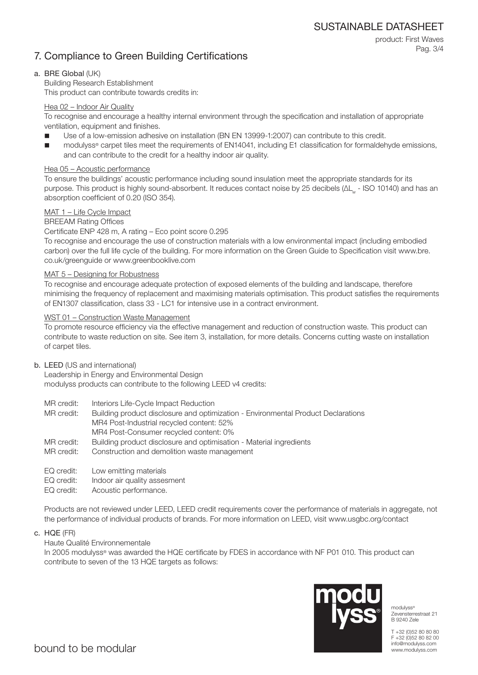SUSTAINABLE DATASHEET

# 7. Compliance to Green Building Certifications

product: First Waves Pag. 3/4

#### a. BRE Global (UK)

Building Research Establishment This product can contribute towards credits in:

#### Hea 02 – Indoor Air Quality

To recognise and encourage a healthy internal environment through the specification and installation of appropriate ventilation, equipment and finishes.

- Use of a low-emission adhesive on installation (BN EN 13999-1:2007) can contribute to this credit.
- modulyss® carpet tiles meet the requirements of EN14041, including E1 classification for formaldehyde emissions, and can contribute to the credit for a healthy indoor air quality.

#### Hea 05 – Acoustic performance

To ensure the buildings' acoustic performance including sound insulation meet the appropriate standards for its purpose. This product is highly sound-absorbent. It reduces contact noise by 25 decibels (ΔL<sub>w</sub> - ISO 10140) and has an absorption coefficient of 0.20 (ISO 354).

#### MAT 1 – Life Cycle Impact

#### BREEAM Rating Offices

#### Certificate ENP 428 m, A rating – Eco point score 0.295

To recognise and encourage the use of construction materials with a low environmental impact (including embodied carbon) over the full life cycle of the building. For more information on the Green Guide to Specification visit www.bre. co.uk/greenguide or www.greenbooklive.com

#### MAT 5 – Designing for Robustness

To recognise and encourage adequate protection of exposed elements of the building and landscape, therefore minimising the frequency of replacement and maximising materials optimisation. This product satisfies the requirements of EN1307 classification, class 33 - LC1 for intensive use in a contract environment.

#### WST 01 – Construction Waste Management

To promote resource efficiency via the effective management and reduction of construction waste. This product can contribute to waste reduction on site. See item 3, installation, for more details. Concerns cutting waste on installation of carpet tiles.

#### b. LEED (US and international)

Leadership in Energy and Environmental Design modulyss products can contribute to the following LEED v4 credits:

- MR credit: Interiors Life-Cycle Impact Reduction
- MR credit: Building product disclosure and optimization Environmental Product Declarations MR4 Post-Industrial recycled content: 52%
	- MR4 Post-Consumer recycled content: 0%
- MR credit: Building product disclosure and optimisation Material ingredients
- MR credit: Construction and demolition waste management
- EQ credit: Low emitting materials
- EQ credit: Indoor air quality assesment
- EQ credit: Acoustic performance.

Products are not reviewed under LEED, LEED credit requirements cover the performance of materials in aggregate, not the performance of individual products of brands. For more information on LEED, visit www.usgbc.org/contact

c. HQE (FR)

#### Haute Qualité Environnementale

In 2005 modulyss® was awarded the HQE certificate by FDES in accordance with NF P01 010. This product can contribute to seven of the 13 HQE targets as follows:



modulyss® Zevensterrestraat 21 B 9240 Zele

T +32 (0)52 80 80 80 F +32 (0)52 80 82 00 info@modulyss.com www.modulyss.com